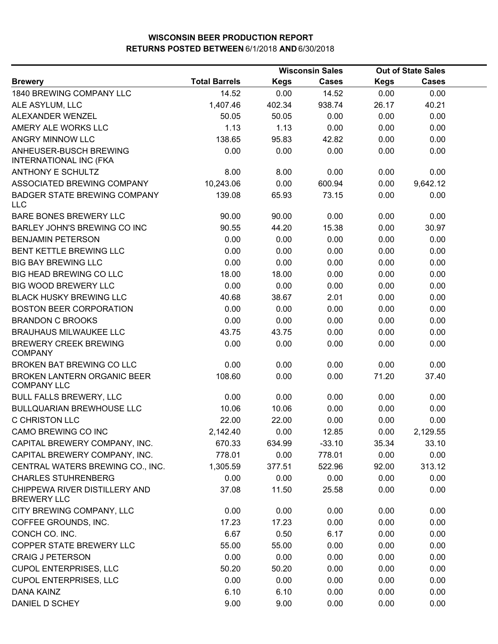|                                                         |                      | <b>Wisconsin Sales</b> |              | <b>Out of State Sales</b> |              |  |
|---------------------------------------------------------|----------------------|------------------------|--------------|---------------------------|--------------|--|
| <b>Brewery</b>                                          | <b>Total Barrels</b> | <b>Kegs</b>            | <b>Cases</b> | <b>Kegs</b>               | <b>Cases</b> |  |
| 1840 BREWING COMPANY LLC                                | 14.52                | 0.00                   | 14.52        | 0.00                      | 0.00         |  |
| ALE ASYLUM, LLC                                         | 1,407.46             | 402.34                 | 938.74       | 26.17                     | 40.21        |  |
| ALEXANDER WENZEL                                        | 50.05                | 50.05                  | 0.00         | 0.00                      | 0.00         |  |
| AMERY ALE WORKS LLC                                     | 1.13                 | 1.13                   | 0.00         | 0.00                      | 0.00         |  |
| ANGRY MINNOW LLC                                        | 138.65               | 95.83                  | 42.82        | 0.00                      | 0.00         |  |
| ANHEUSER-BUSCH BREWING<br><b>INTERNATIONAL INC (FKA</b> | 0.00                 | 0.00                   | 0.00         | 0.00                      | 0.00         |  |
| <b>ANTHONY E SCHULTZ</b>                                | 8.00                 | 8.00                   | 0.00         | 0.00                      | 0.00         |  |
| ASSOCIATED BREWING COMPANY                              | 10,243.06            | 0.00                   | 600.94       | 0.00                      | 9,642.12     |  |
| <b>BADGER STATE BREWING COMPANY</b><br><b>LLC</b>       | 139.08               | 65.93                  | 73.15        | 0.00                      | 0.00         |  |
| <b>BARE BONES BREWERY LLC</b>                           | 90.00                | 90.00                  | 0.00         | 0.00                      | 0.00         |  |
| BARLEY JOHN'S BREWING CO INC                            | 90.55                | 44.20                  | 15.38        | 0.00                      | 30.97        |  |
| <b>BENJAMIN PETERSON</b>                                | 0.00                 | 0.00                   | 0.00         | 0.00                      | 0.00         |  |
| BENT KETTLE BREWING LLC                                 | 0.00                 | 0.00                   | 0.00         | 0.00                      | 0.00         |  |
| <b>BIG BAY BREWING LLC</b>                              | 0.00                 | 0.00                   | 0.00         | 0.00                      | 0.00         |  |
| BIG HEAD BREWING CO LLC                                 | 18.00                | 18.00                  | 0.00         | 0.00                      | 0.00         |  |
| <b>BIG WOOD BREWERY LLC</b>                             | 0.00                 | 0.00                   | 0.00         | 0.00                      | 0.00         |  |
| <b>BLACK HUSKY BREWING LLC</b>                          | 40.68                | 38.67                  | 2.01         | 0.00                      | 0.00         |  |
| <b>BOSTON BEER CORPORATION</b>                          | 0.00                 | 0.00                   | 0.00         | 0.00                      | 0.00         |  |
| <b>BRANDON C BROOKS</b>                                 | 0.00                 | 0.00                   | 0.00         | 0.00                      | 0.00         |  |
| <b>BRAUHAUS MILWAUKEE LLC</b>                           | 43.75                | 43.75                  | 0.00         | 0.00                      | 0.00         |  |
| <b>BREWERY CREEK BREWING</b><br><b>COMPANY</b>          | 0.00                 | 0.00                   | 0.00         | 0.00                      | 0.00         |  |
| BROKEN BAT BREWING CO LLC                               | 0.00                 | 0.00                   | 0.00         | 0.00                      | 0.00         |  |
| BROKEN LANTERN ORGANIC BEER<br><b>COMPANY LLC</b>       | 108.60               | 0.00                   | 0.00         | 71.20                     | 37.40        |  |
| <b>BULL FALLS BREWERY, LLC</b>                          | 0.00                 | 0.00                   | 0.00         | 0.00                      | 0.00         |  |
| <b>BULLQUARIAN BREWHOUSE LLC</b>                        | 10.06                | 10.06                  | 0.00         | 0.00                      | 0.00         |  |
| C CHRISTON LLC                                          | 22.00                | 22.00                  | 0.00         | 0.00                      | 0.00         |  |
| CAMO BREWING CO INC                                     | 2,142.40             | 0.00                   | 12.85        | 0.00                      | 2,129.55     |  |
| CAPITAL BREWERY COMPANY, INC.                           | 670.33               | 634.99                 | $-33.10$     | 35.34                     | 33.10        |  |
| CAPITAL BREWERY COMPANY, INC.                           | 778.01               | 0.00                   | 778.01       | 0.00                      | 0.00         |  |
| CENTRAL WATERS BREWING CO., INC.                        | 1,305.59             | 377.51                 | 522.96       | 92.00                     | 313.12       |  |
| <b>CHARLES STUHRENBERG</b>                              | 0.00                 | 0.00                   | 0.00         | 0.00                      | 0.00         |  |
| CHIPPEWA RIVER DISTILLERY AND<br><b>BREWERY LLC</b>     | 37.08                | 11.50                  | 25.58        | 0.00                      | 0.00         |  |
| CITY BREWING COMPANY, LLC                               | 0.00                 | 0.00                   | 0.00         | 0.00                      | 0.00         |  |
| COFFEE GROUNDS, INC.                                    | 17.23                | 17.23                  | 0.00         | 0.00                      | 0.00         |  |
| CONCH CO. INC.                                          | 6.67                 | 0.50                   | 6.17         | 0.00                      | 0.00         |  |
| COPPER STATE BREWERY LLC                                | 55.00                | 55.00                  | 0.00         | 0.00                      | 0.00         |  |
| <b>CRAIG J PETERSON</b>                                 | 0.00                 | 0.00                   | 0.00         | 0.00                      | 0.00         |  |
| <b>CUPOL ENTERPRISES, LLC</b>                           | 50.20                | 50.20                  | 0.00         | 0.00                      | 0.00         |  |
| <b>CUPOL ENTERPRISES, LLC</b>                           | 0.00                 | 0.00                   | 0.00         | 0.00                      | 0.00         |  |
| <b>DANA KAINZ</b>                                       | 6.10                 | 6.10                   | 0.00         | 0.00                      | 0.00         |  |
| DANIEL D SCHEY                                          | 9.00                 | 9.00                   | 0.00         | 0.00                      | 0.00         |  |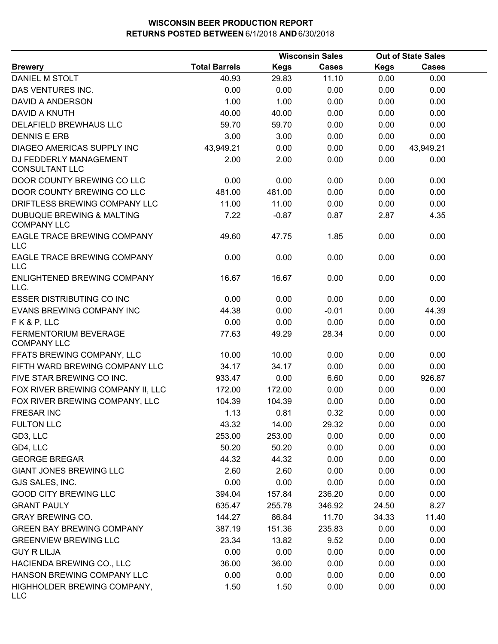|                                                            |                      | <b>Wisconsin Sales</b> | <b>Out of State Sales</b> |             |              |  |
|------------------------------------------------------------|----------------------|------------------------|---------------------------|-------------|--------------|--|
| <b>Brewery</b>                                             | <b>Total Barrels</b> | <b>Kegs</b>            | Cases                     | <b>Kegs</b> | <b>Cases</b> |  |
| DANIEL M STOLT                                             | 40.93                | 29.83                  | 11.10                     | 0.00        | 0.00         |  |
| DAS VENTURES INC.                                          | 0.00                 | 0.00                   | 0.00                      | 0.00        | 0.00         |  |
| <b>DAVID A ANDERSON</b>                                    | 1.00                 | 1.00                   | 0.00                      | 0.00        | 0.00         |  |
| DAVID A KNUTH                                              | 40.00                | 40.00                  | 0.00                      | 0.00        | 0.00         |  |
| DELAFIELD BREWHAUS LLC                                     | 59.70                | 59.70                  | 0.00                      | 0.00        | 0.00         |  |
| <b>DENNIS E ERB</b>                                        | 3.00                 | 3.00                   | 0.00                      | 0.00        | 0.00         |  |
| DIAGEO AMERICAS SUPPLY INC                                 | 43,949.21            | 0.00                   | 0.00                      | 0.00        | 43,949.21    |  |
| DJ FEDDERLY MANAGEMENT<br><b>CONSULTANT LLC</b>            | 2.00                 | 2.00                   | 0.00                      | 0.00        | 0.00         |  |
| DOOR COUNTY BREWING CO LLC                                 | 0.00                 | 0.00                   | 0.00                      | 0.00        | 0.00         |  |
| DOOR COUNTY BREWING CO LLC                                 | 481.00               | 481.00                 | 0.00                      | 0.00        | 0.00         |  |
| DRIFTLESS BREWING COMPANY LLC                              | 11.00                | 11.00                  | 0.00                      | 0.00        | 0.00         |  |
| <b>DUBUQUE BREWING &amp; MALTING</b><br><b>COMPANY LLC</b> | 7.22                 | $-0.87$                | 0.87                      | 2.87        | 4.35         |  |
| EAGLE TRACE BREWING COMPANY<br>LLC                         | 49.60                | 47.75                  | 1.85                      | 0.00        | 0.00         |  |
| EAGLE TRACE BREWING COMPANY<br><b>LLC</b>                  | 0.00                 | 0.00                   | 0.00                      | 0.00        | 0.00         |  |
| ENLIGHTENED BREWING COMPANY<br>LLC.                        | 16.67                | 16.67                  | 0.00                      | 0.00        | 0.00         |  |
| <b>ESSER DISTRIBUTING CO INC</b>                           | 0.00                 | 0.00                   | 0.00                      | 0.00        | 0.00         |  |
| EVANS BREWING COMPANY INC                                  | 44.38                | 0.00                   | $-0.01$                   | 0.00        | 44.39        |  |
| FK&P, LLC                                                  | 0.00                 | 0.00                   | 0.00                      | 0.00        | 0.00         |  |
| FERMENTORIUM BEVERAGE<br><b>COMPANY LLC</b>                | 77.63                | 49.29                  | 28.34                     | 0.00        | 0.00         |  |
| FFATS BREWING COMPANY, LLC                                 | 10.00                | 10.00                  | 0.00                      | 0.00        | 0.00         |  |
| FIFTH WARD BREWING COMPANY LLC                             | 34.17                | 34.17                  | 0.00                      | 0.00        | 0.00         |  |
| FIVE STAR BREWING CO INC.                                  | 933.47               | 0.00                   | 6.60                      | 0.00        | 926.87       |  |
| FOX RIVER BREWING COMPANY II, LLC                          | 172.00               | 172.00                 | 0.00                      | 0.00        | 0.00         |  |
| FOX RIVER BREWING COMPANY, LLC                             | 104.39               | 104.39                 | 0.00                      | 0.00        | 0.00         |  |
| <b>FRESAR INC</b>                                          | 1.13                 | 0.81                   | 0.32                      | 0.00        | 0.00         |  |
| <b>FULTON LLC</b>                                          | 43.32                | 14.00                  | 29.32                     | 0.00        | 0.00         |  |
| GD3, LLC                                                   | 253.00               | 253.00                 | 0.00                      | 0.00        | 0.00         |  |
| GD4, LLC                                                   | 50.20                | 50.20                  | 0.00                      | 0.00        | 0.00         |  |
| <b>GEORGE BREGAR</b>                                       | 44.32                | 44.32                  | 0.00                      | 0.00        | 0.00         |  |
| <b>GIANT JONES BREWING LLC</b>                             | 2.60                 | 2.60                   | 0.00                      | 0.00        | 0.00         |  |
| GJS SALES, INC.                                            | 0.00                 | 0.00                   | 0.00                      | 0.00        | 0.00         |  |
| <b>GOOD CITY BREWING LLC</b>                               | 394.04               | 157.84                 | 236.20                    | 0.00        | 0.00         |  |
| <b>GRANT PAULY</b>                                         | 635.47               | 255.78                 | 346.92                    | 24.50       | 8.27         |  |
| <b>GRAY BREWING CO.</b>                                    | 144.27               | 86.84                  | 11.70                     | 34.33       | 11.40        |  |
| <b>GREEN BAY BREWING COMPANY</b>                           | 387.19               | 151.36                 | 235.83                    | 0.00        | 0.00         |  |
| <b>GREENVIEW BREWING LLC</b>                               | 23.34                | 13.82                  | 9.52                      | 0.00        | 0.00         |  |
| <b>GUY R LILJA</b>                                         | 0.00                 | 0.00                   | 0.00                      | 0.00        | 0.00         |  |
| HACIENDA BREWING CO., LLC                                  | 36.00                | 36.00                  | 0.00                      | 0.00        | 0.00         |  |
| HANSON BREWING COMPANY LLC                                 | 0.00                 | 0.00                   | 0.00                      | 0.00        | 0.00         |  |
| HIGHHOLDER BREWING COMPANY,<br>LLC                         | 1.50                 | 1.50                   | 0.00                      | 0.00        | 0.00         |  |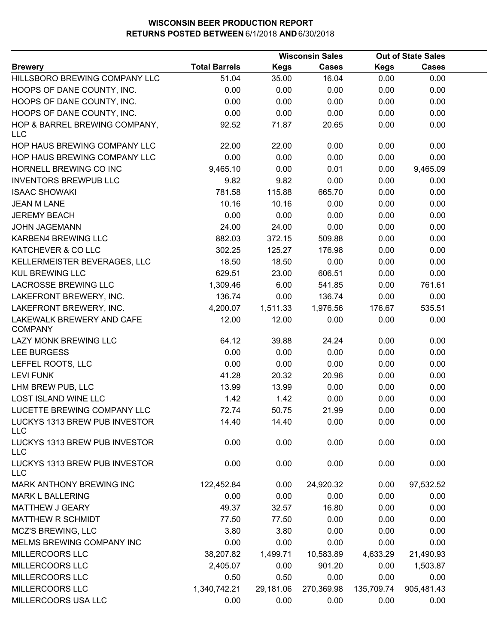|                                             |                      |             | <b>Wisconsin Sales</b> |             | <b>Out of State Sales</b> |  |
|---------------------------------------------|----------------------|-------------|------------------------|-------------|---------------------------|--|
| <b>Brewery</b>                              | <b>Total Barrels</b> | <b>Kegs</b> | <b>Cases</b>           | <b>Kegs</b> | <b>Cases</b>              |  |
| HILLSBORO BREWING COMPANY LLC               | 51.04                | 35.00       | 16.04                  | 0.00        | 0.00                      |  |
| HOOPS OF DANE COUNTY, INC.                  | 0.00                 | 0.00        | 0.00                   | 0.00        | 0.00                      |  |
| HOOPS OF DANE COUNTY, INC.                  | 0.00                 | 0.00        | 0.00                   | 0.00        | 0.00                      |  |
| HOOPS OF DANE COUNTY, INC.                  | 0.00                 | 0.00        | 0.00                   | 0.00        | 0.00                      |  |
| HOP & BARREL BREWING COMPANY,<br><b>LLC</b> | 92.52                | 71.87       | 20.65                  | 0.00        | 0.00                      |  |
| HOP HAUS BREWING COMPANY LLC                | 22.00                | 22.00       | 0.00                   | 0.00        | 0.00                      |  |
| HOP HAUS BREWING COMPANY LLC                | 0.00                 | 0.00        | 0.00                   | 0.00        | 0.00                      |  |
| HORNELL BREWING CO INC                      | 9,465.10             | 0.00        | 0.01                   | 0.00        | 9,465.09                  |  |
| <b>INVENTORS BREWPUB LLC</b>                | 9.82                 | 9.82        | 0.00                   | 0.00        | 0.00                      |  |
| <b>ISAAC SHOWAKI</b>                        | 781.58               | 115.88      | 665.70                 | 0.00        | 0.00                      |  |
| <b>JEAN M LANE</b>                          | 10.16                | 10.16       | 0.00                   | 0.00        | 0.00                      |  |
| <b>JEREMY BEACH</b>                         | 0.00                 | 0.00        | 0.00                   | 0.00        | 0.00                      |  |
| <b>JOHN JAGEMANN</b>                        | 24.00                | 24.00       | 0.00                   | 0.00        | 0.00                      |  |
| KARBEN4 BREWING LLC                         | 882.03               | 372.15      | 509.88                 | 0.00        | 0.00                      |  |
| KATCHEVER & CO LLC                          | 302.25               | 125.27      | 176.98                 | 0.00        | 0.00                      |  |
| KELLERMEISTER BEVERAGES, LLC                | 18.50                | 18.50       | 0.00                   | 0.00        | 0.00                      |  |
| <b>KUL BREWING LLC</b>                      | 629.51               | 23.00       | 606.51                 | 0.00        | 0.00                      |  |
| <b>LACROSSE BREWING LLC</b>                 | 1,309.46             | 6.00        | 541.85                 | 0.00        | 761.61                    |  |
| LAKEFRONT BREWERY, INC.                     | 136.74               | 0.00        | 136.74                 | 0.00        | 0.00                      |  |
| LAKEFRONT BREWERY, INC.                     | 4,200.07             | 1,511.33    | 1,976.56               | 176.67      | 535.51                    |  |
| LAKEWALK BREWERY AND CAFE<br><b>COMPANY</b> | 12.00                | 12.00       | 0.00                   | 0.00        | 0.00                      |  |
| LAZY MONK BREWING LLC                       | 64.12                | 39.88       | 24.24                  | 0.00        | 0.00                      |  |
| <b>LEE BURGESS</b>                          | 0.00                 | 0.00        | 0.00                   | 0.00        | 0.00                      |  |
| LEFFEL ROOTS, LLC                           | 0.00                 | 0.00        | 0.00                   | 0.00        | 0.00                      |  |
| <b>LEVI FUNK</b>                            | 41.28                | 20.32       | 20.96                  | 0.00        | 0.00                      |  |
| LHM BREW PUB, LLC                           | 13.99                | 13.99       | 0.00                   | 0.00        | 0.00                      |  |
| LOST ISLAND WINE LLC                        | 1.42                 | 1.42        | 0.00                   | 0.00        | 0.00                      |  |
| LUCETTE BREWING COMPANY LLC                 | 72.74                | 50.75       | 21.99                  | 0.00        | 0.00                      |  |
| LUCKYS 1313 BREW PUB INVESTOR<br><b>LLC</b> | 14.40                | 14.40       | 0.00                   | 0.00        | 0.00                      |  |
| LUCKYS 1313 BREW PUB INVESTOR<br><b>LLC</b> | 0.00                 | 0.00        | 0.00                   | 0.00        | 0.00                      |  |
| LUCKYS 1313 BREW PUB INVESTOR<br><b>LLC</b> | 0.00                 | 0.00        | 0.00                   | 0.00        | 0.00                      |  |
| MARK ANTHONY BREWING INC                    | 122,452.84           | 0.00        | 24,920.32              | 0.00        | 97,532.52                 |  |
| <b>MARK L BALLERING</b>                     | 0.00                 | 0.00        | 0.00                   | 0.00        | 0.00                      |  |
| MATTHEW J GEARY                             | 49.37                | 32.57       | 16.80                  | 0.00        | 0.00                      |  |
| <b>MATTHEW R SCHMIDT</b>                    | 77.50                | 77.50       | 0.00                   | 0.00        | 0.00                      |  |
| MCZ'S BREWING, LLC                          | 3.80                 | 3.80        | 0.00                   | 0.00        | 0.00                      |  |
| MELMS BREWING COMPANY INC                   | 0.00                 | 0.00        | 0.00                   | 0.00        | 0.00                      |  |
| MILLERCOORS LLC                             | 38,207.82            | 1,499.71    | 10,583.89              | 4,633.29    | 21,490.93                 |  |
| MILLERCOORS LLC                             | 2,405.07             | 0.00        | 901.20                 | 0.00        | 1,503.87                  |  |
| MILLERCOORS LLC                             | 0.50                 | 0.50        | 0.00                   | 0.00        | 0.00                      |  |
| MILLERCOORS LLC                             | 1,340,742.21         | 29,181.06   | 270,369.98             | 135,709.74  | 905,481.43                |  |
| MILLERCOORS USA LLC                         | 0.00                 | 0.00        | 0.00                   | 0.00        | 0.00                      |  |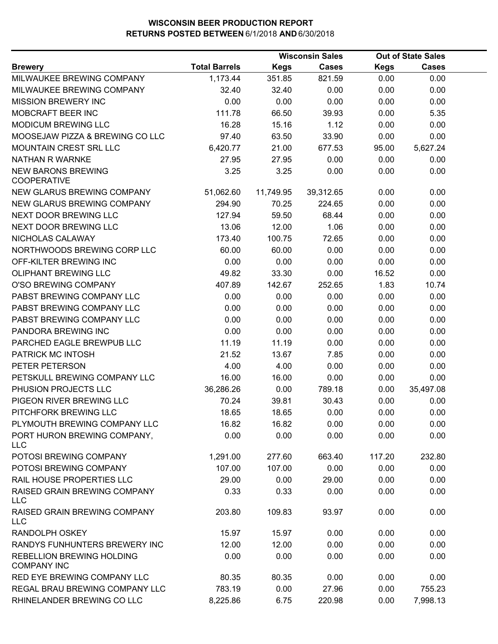|                                                 |                      |           | <b>Wisconsin Sales</b> |             | <b>Out of State Sales</b> |  |
|-------------------------------------------------|----------------------|-----------|------------------------|-------------|---------------------------|--|
| <b>Brewery</b>                                  | <b>Total Barrels</b> | Kegs      | <b>Cases</b>           | <b>Kegs</b> | <b>Cases</b>              |  |
| MILWAUKEE BREWING COMPANY                       | 1,173.44             | 351.85    | 821.59                 | 0.00        | 0.00                      |  |
| MILWAUKEE BREWING COMPANY                       | 32.40                | 32.40     | 0.00                   | 0.00        | 0.00                      |  |
| <b>MISSION BREWERY INC</b>                      | 0.00                 | 0.00      | 0.00                   | 0.00        | 0.00                      |  |
| MOBCRAFT BEER INC                               | 111.78               | 66.50     | 39.93                  | 0.00        | 5.35                      |  |
| <b>MODICUM BREWING LLC</b>                      | 16.28                | 15.16     | 1.12                   | 0.00        | 0.00                      |  |
| MOOSEJAW PIZZA & BREWING CO LLC                 | 97.40                | 63.50     | 33.90                  | 0.00        | 0.00                      |  |
| <b>MOUNTAIN CREST SRL LLC</b>                   | 6,420.77             | 21.00     | 677.53                 | 95.00       | 5,627.24                  |  |
| NATHAN R WARNKE                                 | 27.95                | 27.95     | 0.00                   | 0.00        | 0.00                      |  |
| <b>NEW BARONS BREWING</b><br><b>COOPERATIVE</b> | 3.25                 | 3.25      | 0.00                   | 0.00        | 0.00                      |  |
| NEW GLARUS BREWING COMPANY                      | 51,062.60            | 11,749.95 | 39,312.65              | 0.00        | 0.00                      |  |
| NEW GLARUS BREWING COMPANY                      | 294.90               | 70.25     | 224.65                 | 0.00        | 0.00                      |  |
| NEXT DOOR BREWING LLC                           | 127.94               | 59.50     | 68.44                  | 0.00        | 0.00                      |  |
| NEXT DOOR BREWING LLC                           | 13.06                | 12.00     | 1.06                   | 0.00        | 0.00                      |  |
| NICHOLAS CALAWAY                                | 173.40               | 100.75    | 72.65                  | 0.00        | 0.00                      |  |
| NORTHWOODS BREWING CORP LLC                     | 60.00                | 60.00     | 0.00                   | 0.00        | 0.00                      |  |
| OFF-KILTER BREWING INC                          | 0.00                 | 0.00      | 0.00                   | 0.00        | 0.00                      |  |
| OLIPHANT BREWING LLC                            | 49.82                | 33.30     | 0.00                   | 16.52       | 0.00                      |  |
| O'SO BREWING COMPANY                            | 407.89               | 142.67    | 252.65                 | 1.83        | 10.74                     |  |
| PABST BREWING COMPANY LLC                       | 0.00                 | 0.00      | 0.00                   | 0.00        | 0.00                      |  |
| PABST BREWING COMPANY LLC                       | 0.00                 | 0.00      | 0.00                   | 0.00        | 0.00                      |  |
| PABST BREWING COMPANY LLC                       | 0.00                 | 0.00      | 0.00                   | 0.00        | 0.00                      |  |
| PANDORA BREWING INC                             | 0.00                 | 0.00      | 0.00                   | 0.00        | 0.00                      |  |
| PARCHED EAGLE BREWPUB LLC                       | 11.19                | 11.19     | 0.00                   | 0.00        | 0.00                      |  |
| PATRICK MC INTOSH                               | 21.52                | 13.67     | 7.85                   | 0.00        | 0.00                      |  |
| PETER PETERSON                                  | 4.00                 | 4.00      | 0.00                   | 0.00        | 0.00                      |  |
| PETSKULL BREWING COMPANY LLC                    | 16.00                | 16.00     | 0.00                   | 0.00        | 0.00                      |  |
| PHUSION PROJECTS LLC                            | 36,286.26            | 0.00      | 789.18                 | 0.00        | 35,497.08                 |  |
| PIGEON RIVER BREWING LLC                        | 70.24                | 39.81     | 30.43                  | 0.00        | 0.00                      |  |
| PITCHFORK BREWING LLC                           | 18.65                | 18.65     | 0.00                   | 0.00        | 0.00                      |  |
| PLYMOUTH BREWING COMPANY LLC                    | 16.82                | 16.82     | 0.00                   | 0.00        | 0.00                      |  |
| PORT HURON BREWING COMPANY,<br><b>LLC</b>       | 0.00                 | 0.00      | 0.00                   | 0.00        | 0.00                      |  |
| POTOSI BREWING COMPANY                          | 1,291.00             | 277.60    | 663.40                 | 117.20      | 232.80                    |  |
| POTOSI BREWING COMPANY                          | 107.00               | 107.00    | 0.00                   | 0.00        | 0.00                      |  |
| RAIL HOUSE PROPERTIES LLC                       | 29.00                | 0.00      | 29.00                  | 0.00        | 0.00                      |  |
| RAISED GRAIN BREWING COMPANY<br><b>LLC</b>      | 0.33                 | 0.33      | 0.00                   | 0.00        | 0.00                      |  |
| RAISED GRAIN BREWING COMPANY<br><b>LLC</b>      | 203.80               | 109.83    | 93.97                  | 0.00        | 0.00                      |  |
| RANDOLPH OSKEY                                  | 15.97                | 15.97     | 0.00                   | 0.00        | 0.00                      |  |
| RANDYS FUNHUNTERS BREWERY INC                   | 12.00                | 12.00     | 0.00                   | 0.00        | 0.00                      |  |
| REBELLION BREWING HOLDING<br><b>COMPANY INC</b> | 0.00                 | 0.00      | 0.00                   | 0.00        | 0.00                      |  |
| RED EYE BREWING COMPANY LLC                     | 80.35                | 80.35     | 0.00                   | 0.00        | 0.00                      |  |
| REGAL BRAU BREWING COMPANY LLC                  | 783.19               | 0.00      | 27.96                  | 0.00        | 755.23                    |  |
| RHINELANDER BREWING CO LLC                      | 8,225.86             | 6.75      | 220.98                 | 0.00        | 7,998.13                  |  |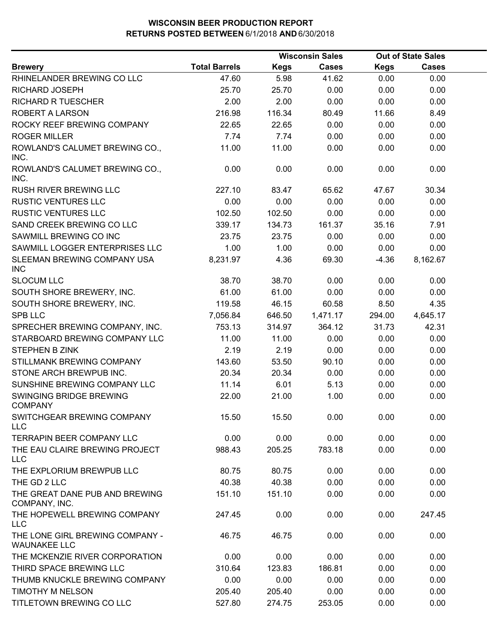|                                                        |                      |             | <b>Wisconsin Sales</b> |             | <b>Out of State Sales</b> |  |
|--------------------------------------------------------|----------------------|-------------|------------------------|-------------|---------------------------|--|
| <b>Brewery</b>                                         | <b>Total Barrels</b> | <b>Kegs</b> | <b>Cases</b>           | <b>Kegs</b> | <b>Cases</b>              |  |
| RHINELANDER BREWING CO LLC                             | 47.60                | 5.98        | 41.62                  | 0.00        | 0.00                      |  |
| RICHARD JOSEPH                                         | 25.70                | 25.70       | 0.00                   | 0.00        | 0.00                      |  |
| <b>RICHARD R TUESCHER</b>                              | 2.00                 | 2.00        | 0.00                   | 0.00        | 0.00                      |  |
| ROBERT A LARSON                                        | 216.98               | 116.34      | 80.49                  | 11.66       | 8.49                      |  |
| ROCKY REEF BREWING COMPANY                             | 22.65                | 22.65       | 0.00                   | 0.00        | 0.00                      |  |
| <b>ROGER MILLER</b>                                    | 7.74                 | 7.74        | 0.00                   | 0.00        | 0.00                      |  |
| ROWLAND'S CALUMET BREWING CO.,<br>INC.                 | 11.00                | 11.00       | 0.00                   | 0.00        | 0.00                      |  |
| ROWLAND'S CALUMET BREWING CO.,<br>INC.                 | 0.00                 | 0.00        | 0.00                   | 0.00        | 0.00                      |  |
| <b>RUSH RIVER BREWING LLC</b>                          | 227.10               | 83.47       | 65.62                  | 47.67       | 30.34                     |  |
| <b>RUSTIC VENTURES LLC</b>                             | 0.00                 | 0.00        | 0.00                   | 0.00        | 0.00                      |  |
| <b>RUSTIC VENTURES LLC</b>                             | 102.50               | 102.50      | 0.00                   | 0.00        | 0.00                      |  |
| SAND CREEK BREWING CO LLC                              | 339.17               | 134.73      | 161.37                 | 35.16       | 7.91                      |  |
| SAWMILL BREWING CO INC                                 | 23.75                | 23.75       | 0.00                   | 0.00        | 0.00                      |  |
| SAWMILL LOGGER ENTERPRISES LLC                         | 1.00                 | 1.00        | 0.00                   | 0.00        | 0.00                      |  |
| SLEEMAN BREWING COMPANY USA<br><b>INC</b>              | 8,231.97             | 4.36        | 69.30                  | $-4.36$     | 8,162.67                  |  |
| <b>SLOCUM LLC</b>                                      | 38.70                | 38.70       | 0.00                   | 0.00        | 0.00                      |  |
| SOUTH SHORE BREWERY, INC.                              | 61.00                | 61.00       | 0.00                   | 0.00        | 0.00                      |  |
| SOUTH SHORE BREWERY, INC.                              | 119.58               | 46.15       | 60.58                  | 8.50        | 4.35                      |  |
| <b>SPB LLC</b>                                         | 7,056.84             | 646.50      | 1,471.17               | 294.00      | 4,645.17                  |  |
| SPRECHER BREWING COMPANY, INC.                         | 753.13               | 314.97      | 364.12                 | 31.73       | 42.31                     |  |
| STARBOARD BREWING COMPANY LLC                          | 11.00                | 11.00       | 0.00                   | 0.00        | 0.00                      |  |
| <b>STEPHEN B ZINK</b>                                  | 2.19                 | 2.19        | 0.00                   | 0.00        | 0.00                      |  |
| STILLMANK BREWING COMPANY                              | 143.60               | 53.50       | 90.10                  | 0.00        | 0.00                      |  |
| STONE ARCH BREWPUB INC.                                | 20.34                | 20.34       | 0.00                   | 0.00        | 0.00                      |  |
| SUNSHINE BREWING COMPANY LLC                           | 11.14                | 6.01        | 5.13                   | 0.00        | 0.00                      |  |
| SWINGING BRIDGE BREWING<br><b>COMPANY</b>              | 22.00                | 21.00       | 1.00                   | 0.00        | 0.00                      |  |
| SWITCHGEAR BREWING COMPANY<br><b>LLC</b>               | 15.50                | 15.50       | 0.00                   | 0.00        | 0.00                      |  |
| <b>TERRAPIN BEER COMPANY LLC</b>                       | 0.00                 | 0.00        | 0.00                   | 0.00        | 0.00                      |  |
| THE EAU CLAIRE BREWING PROJECT<br><b>LLC</b>           | 988.43               | 205.25      | 783.18                 | 0.00        | 0.00                      |  |
| THE EXPLORIUM BREWPUB LLC                              | 80.75                | 80.75       | 0.00                   | 0.00        | 0.00                      |  |
| THE GD 2 LLC                                           | 40.38                | 40.38       | 0.00                   | 0.00        | 0.00                      |  |
| THE GREAT DANE PUB AND BREWING<br>COMPANY, INC.        | 151.10               | 151.10      | 0.00                   | 0.00        | 0.00                      |  |
| THE HOPEWELL BREWING COMPANY<br><b>LLC</b>             | 247.45               | 0.00        | 0.00                   | 0.00        | 247.45                    |  |
| THE LONE GIRL BREWING COMPANY -<br><b>WAUNAKEE LLC</b> | 46.75                | 46.75       | 0.00                   | 0.00        | 0.00                      |  |
| THE MCKENZIE RIVER CORPORATION                         | 0.00                 | 0.00        | 0.00                   | 0.00        | 0.00                      |  |
| THIRD SPACE BREWING LLC                                | 310.64               | 123.83      | 186.81                 | 0.00        | 0.00                      |  |
| THUMB KNUCKLE BREWING COMPANY                          | 0.00                 | 0.00        | 0.00                   | 0.00        | 0.00                      |  |
| TIMOTHY M NELSON                                       | 205.40               | 205.40      | 0.00                   | 0.00        | 0.00                      |  |
| TITLETOWN BREWING CO LLC                               | 527.80               | 274.75      | 253.05                 | 0.00        | 0.00                      |  |
|                                                        |                      |             |                        |             |                           |  |